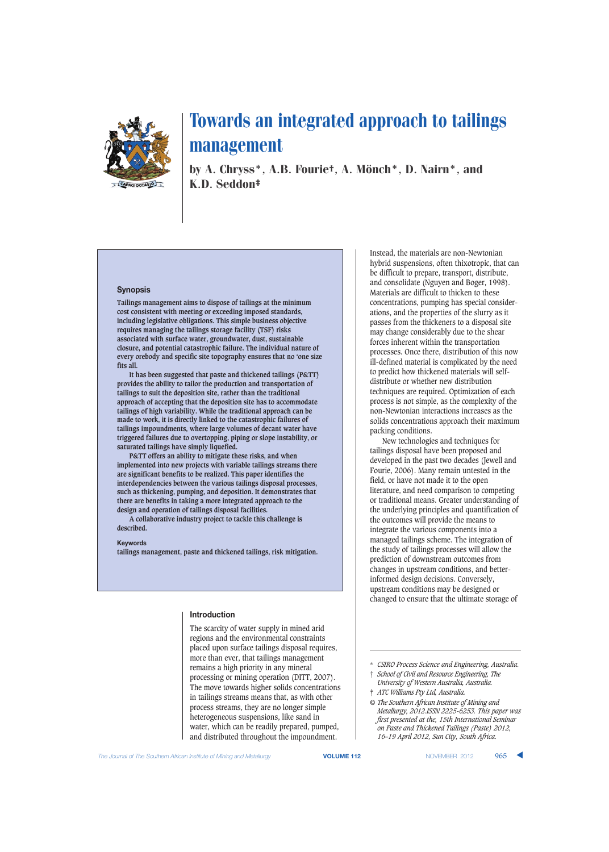

by A. Chryss\*, A.B. Fourie†, A. Mönch\*, D. Nairn\*, and K.D. Seddon‡

#### **Synopsis**

**Tailings management aims to dispose of tailings at the minimum cost consistent with meeting or exceeding imposed standards, including legislative obligations. This simple business objective requires managing the tailings storage facility (TSF) risks associated with surface water, groundwater, dust, sustainable closure, and potential catastrophic failure. The individual nature of every orebody and specific site topography ensures that no 'one size fits all.**

**It has been suggested that paste and thickened tailings (P&TT) provides the ability to tailor the production and transportation of tailings to suit the deposition site, rather than the traditional approach of accepting that the deposition site has to accommodate tailings of high variability. While the traditional approach can be made to work, it is directly linked to the catastrophic failures of tailings impoundments, where large volumes of decant water have triggered failures due to overtopping, piping or slope instability, or saturated tailings have simply liquefied.**

**P&TT offers an ability to mitigate these risks, and when implemented into new projects with variable tailings streams there are significant benefits to be realized. This paper identifies the interdependencies between the various tailings disposal processes, such as thickening, pumping, and deposition. It demonstrates that there are benefits in taking a more integrated approach to the design and operation of tailings disposal facilities.**

**A collaborative industry project to tackle this challenge is described.**

#### **Keywords**

**tailings management, paste and thickened tailings, risk mitigation.**

#### **Introduction**

The scarcity of water supply in mined arid regions and the environmental constraints placed upon surface tailings disposal requires, more than ever, that tailings management remains a high priority in any mineral processing or mining operation (DITT, 2007). The move towards higher solids concentrations in tailings streams means that, as with other process streams, they are no longer simple heterogeneous suspensions, like sand in water, which can be readily prepared, pumped, and distributed throughout the impoundment.

Instead, the materials are non-Newtonian hybrid suspensions, often thixotropic, that can be difficult to prepare, transport, distribute, and consolidate (Nguyen and Boger, 1998). Materials are difficult to thicken to these concentrations, pumping has special considerations, and the properties of the slurry as it passes from the thickeners to a disposal site may change considerably due to the shear forces inherent within the transportation processes. Once there, distribution of this now ill-defined material is complicated by the need to predict how thickened materials will selfdistribute or whether new distribution techniques are required. Optimization of each process is not simple, as the complexity of the non-Newtonian interactions increases as the solids concentrations approach their maximum packing conditions.

New technologies and techniques for tailings disposal have been proposed and developed in the past two decades (Jewell and Fourie, 2006). Many remain untested in the field, or have not made it to the open literature, and need comparison to competing or traditional means. Greater understanding of the underlying principles and quantification of the outcomes will provide the means to integrate the various components into a managed tailings scheme. The integration of the study of tailings processes will allow the prediction of downstream outcomes from changes in upstream conditions, and betterinformed design decisions. Conversely, upstream conditions may be designed or changed to ensure that the ultimate storage of

<sup>\*</sup> *CSIRO Process Science and Engineering, Australia.* † *School of Civil and Resource Engineering, The*

*University of Western Australia, Australia.* ‡ *ATC Williams Pty Ltd, Australia.*

*<sup>©</sup> The Southern African Institute of Mining and Metallurgy, 2012.ISSN 2225-6253. This paper was first presented at the, 15th International Seminar on Paste and Thickened Tailings (Paste) 2012, 16–19 April 2012, Sun City, South Africa.*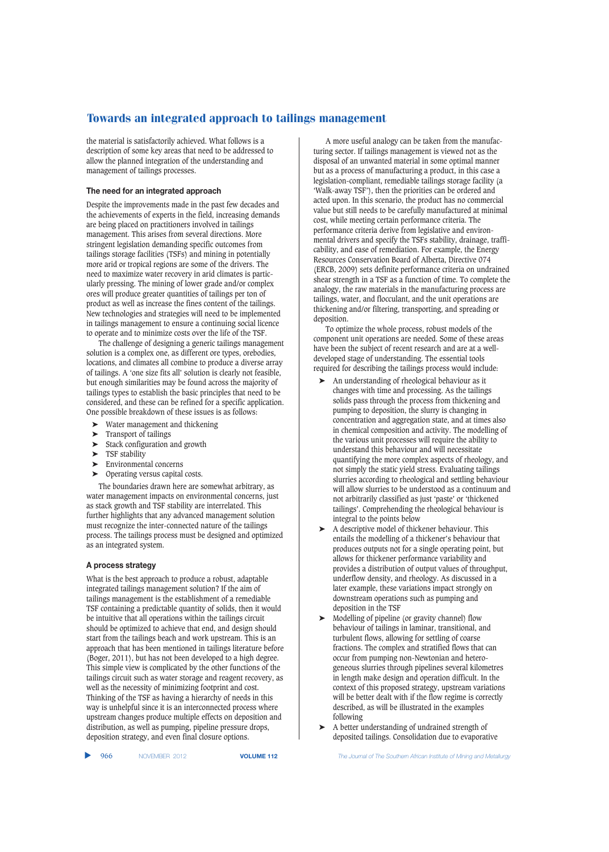the material is satisfactorily achieved. What follows is a description of some key areas that need to be addressed to allow the planned integration of the understanding and management of tailings processes.

### **The need for an integrated approach**

Despite the improvements made in the past few decades and the achievements of experts in the field, increasing demands are being placed on practitioners involved in tailings management. This arises from several directions. More stringent legislation demanding specific outcomes from tailings storage facilities (TSFs) and mining in potentially more arid or tropical regions are some of the drivers. The need to maximize water recovery in arid climates is particularly pressing. The mining of lower grade and/or complex ores will produce greater quantities of tailings per ton of product as well as increase the fines content of the tailings. New technologies and strategies will need to be implemented in tailings management to ensure a continuing social licence to operate and to minimize costs over the life of the TSF.

The challenge of designing a generic tailings management solution is a complex one, as different ore types, orebodies, locations, and climates all combine to produce a diverse array of tailings. A 'one size fits all' solution is clearly not feasible, but enough similarities may be found across the majority of tailings types to establish the basic principles that need to be considered, and these can be refined for a specific application. One possible breakdown of these issues is as follows:

- Water management and thickening
- ➤ Transport of tailings
- Stack configuration and growth
- ▶ TSF stability
- ➤ Environmental concerns
- ➤ Operating versus capital costs.

The boundaries drawn here are somewhat arbitrary, as water management impacts on environmental concerns, just as stack growth and TSF stability are interrelated. This further highlights that any advanced management solution must recognize the inter-connected nature of the tailings process. The tailings process must be designed and optimized as an integrated system.

## **A process strategy**

What is the best approach to produce a robust, adaptable integrated tailings management solution? If the aim of tailings management is the establishment of a remediable TSF containing a predictable quantity of solids, then it would be intuitive that all operations within the tailings circuit should be optimized to achieve that end, and design should start from the tailings beach and work upstream. This is an approach that has been mentioned in tailings literature before (Boger, 2011), but has not been developed to a high degree. This simple view is complicated by the other functions of the tailings circuit such as water storage and reagent recovery, as well as the necessity of minimizing footprint and cost. Thinking of the TSF as having a hierarchy of needs in this way is unhelpful since it is an interconnected process where upstream changes produce multiple effects on deposition and distribution, as well as pumping, pipeline pressure drops, deposition strategy, and even final closure options.

A more useful analogy can be taken from the manufacturing sector. If tailings management is viewed not as the disposal of an unwanted material in some optimal manner but as a process of manufacturing a product, in this case a legislation-compliant, remediable tailings storage facility (a 'Walk-away TSF'), then the priorities can be ordered and acted upon. In this scenario, the product has no commercial value but still needs to be carefully manufactured at minimal cost, while meeting certain performance criteria. The performance criteria derive from legislative and environmental drivers and specify the TSFs stability, drainage, trafficability, and ease of remediation. For example, the Energy Resources Conservation Board of Alberta, Directive 074 (ERCB, 2009) sets definite performance criteria on undrained shear strength in a TSF as a function of time. To complete the analogy, the raw materials in the manufacturing process are tailings, water, and flocculant, and the unit operations are thickening and/or filtering, transporting, and spreading or deposition.

To optimize the whole process, robust models of the component unit operations are needed. Some of these areas have been the subject of recent research and are at a welldeveloped stage of understanding. The essential tools required for describing the tailings process would include:

- ➤ An understanding of rheological behaviour as it changes with time and processing. As the tailings solids pass through the process from thickening and pumping to deposition, the slurry is changing in concentration and aggregation state, and at times also in chemical composition and activity. The modelling of the various unit processes will require the ability to understand this behaviour and will necessitate quantifying the more complex aspects of rheology, and not simply the static yield stress. Evaluating tailings slurries according to rheological and settling behaviour will allow slurries to be understood as a continuum and not arbitrarily classified as just 'paste' or 'thickened tailings'. Comprehending the rheological behaviour is integral to the points below
- ➤ A descriptive model of thickener behaviour. This entails the modelling of a thickener's behaviour that produces outputs not for a single operating point, but allows for thickener performance variability and provides a distribution of output values of throughput, underflow density, and rheology. As discussed in a later example, these variations impact strongly on downstream operations such as pumping and deposition in the TSF
- ➤ Modelling of pipeline (or gravity channel) flow behaviour of tailings in laminar, transitional, and turbulent flows, allowing for settling of coarse fractions. The complex and stratified flows that can occur from pumping non-Newtonian and heterogeneous slurries through pipelines several kilometres in length make design and operation difficult. In the context of this proposed strategy, upstream variations will be better dealt with if the flow regime is correctly described, as will be illustrated in the examples following
- ➤ A better understanding of undrained strength of deposited tailings. Consolidation due to evaporative

▲

966 NOVEMBER 2012 **VOLUME 112** *The Journal of The Southern African Institute of Mining and Metallurgy*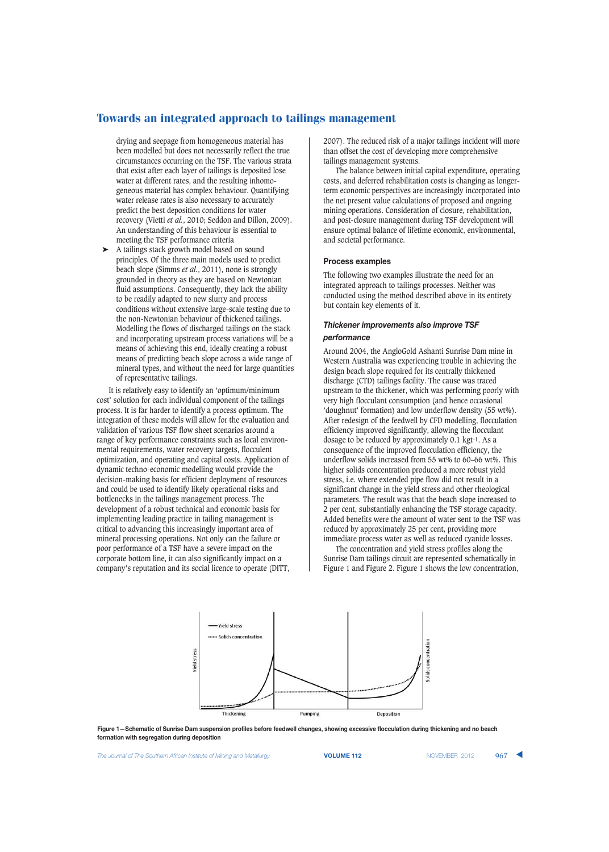drying and seepage from homogeneous material has been modelled but does not necessarily reflect the true circumstances occurring on the TSF. The various strata that exist after each layer of tailings is deposited lose water at different rates, and the resulting inhomogeneous material has complex behaviour. Quantifying water release rates is also necessary to accurately predict the best deposition conditions for water recovery (Vietti *et al.*, 2010; Seddon and Dillon, 2009). An understanding of this behaviour is essential to meeting the TSF performance criteria

➤ A tailings stack growth model based on sound principles. Of the three main models used to predict beach slope (Simms *et al.*, 2011), none is strongly grounded in theory as they are based on Newtonian fluid assumptions. Consequently, they lack the ability to be readily adapted to new slurry and process conditions without extensive large-scale testing due to the non-Newtonian behaviour of thickened tailings. Modelling the flows of discharged tailings on the stack and incorporating upstream process variations will be a means of achieving this end, ideally creating a robust means of predicting beach slope across a wide range of mineral types, and without the need for large quantities of representative tailings.

It is relatively easy to identify an 'optimum/minimum cost' solution for each individual component of the tailings process. It is far harder to identify a process optimum. The integration of these models will allow for the evaluation and validation of various TSF flow sheet scenarios around a range of key performance constraints such as local environmental requirements, water recovery targets, flocculent optimization, and operating and capital costs. Application of dynamic techno-economic modelling would provide the decision-making basis for efficient deployment of resources and could be used to identify likely operational risks and bottlenecks in the tailings management process. The development of a robust technical and economic basis for implementing leading practice in tailing management is critical to advancing this increasingly important area of mineral processing operations. Not only can the failure or poor performance of a TSF have a severe impact on the corporate bottom line, it can also significantly impact on a company's reputation and its social licence to operate (DITT,

2007). The reduced risk of a major tailings incident will more than offset the cost of developing more comprehensive tailings management systems.

The balance between initial capital expenditure, operating costs, and deferred rehabilitation costs is changing as longerterm economic perspectives are increasingly incorporated into the net present value calculations of proposed and ongoing mining operations. Consideration of closure, rehabilitation, and post-closure management during TSF development will ensure optimal balance of lifetime economic, environmental, and societal performance.

#### **Process examples**

The following two examples illustrate the need for an integrated approach to tailings processes. Neither was conducted using the method described above in its entirety but contain key elements of it.

## *Thickener improvements also improve TSF performance*

Around 2004, the AngloGold Ashanti Sunrise Dam mine in Western Australia was experiencing trouble in achieving the design beach slope required for its centrally thickened discharge (CTD) tailings facility. The cause was traced upstream to the thickener, which was performing poorly with very high flocculant consumption (and hence occasional 'doughnut' formation) and low underflow density (55 wt%). After redesign of the feedwell by CFD modelling, flocculation efficiency improved significantly, allowing the flocculant dosage to be reduced by approximately 0.1 kgt-1. As a consequence of the improved flocculation efficiency, the underflow solids increased from 55 wt% to 60–66 wt%. This higher solids concentration produced a more robust yield stress, i.e. where extended pipe flow did not result in a significant change in the yield stress and other rheological parameters. The result was that the beach slope increased to 2 per cent, substantially enhancing the TSF storage capacity. Added benefits were the amount of water sent to the TSF was reduced by approximately 25 per cent, providing more immediate process water as well as reduced cyanide losses.

The concentration and yield stress profiles along the Sunrise Dam tailings circuit are represented schematically in Figure 1 and Figure 2. Figure 1 shows the low concentration,



**Figure 1—Schematic of Sunrise Dam suspension profiles before feedwell changes, showing excessive flocculation during thickening and no beach formation with segregation during deposition**

**The Journal of The Southern African Institute of Mining and Metallurgy <b>VOLUME 112 VOLUME 112** NOVEMBER 2012 967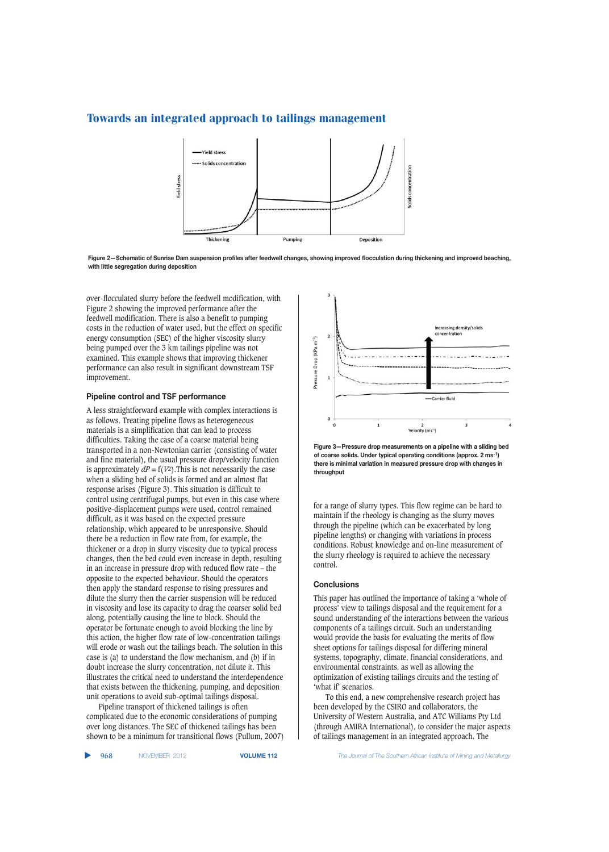

**Figure 2—Schematic of Sunrise Dam suspension profiles after feedwell changes, showing improved flocculation during thickening and improved beaching, with little segregation during deposition**

over-flocculated slurry before the feedwell modification, with Figure 2 showing the improved performance after the feedwell modification. There is also a benefit to pumping costs in the reduction of water used, but the effect on specific energy consumption (SEC) of the higher viscosity slurry being pumped over the 3 km tailings pipeline was not examined. This example shows that improving thickener performance can also result in significant downstream TSF improvement.

#### **Pipeline control and TSF performance**

A less straightforward example with complex interactions is as follows. Treating pipeline flows as heterogeneous materials is a simplification that can lead to process difficulties. Taking the case of a coarse material being transported in a non-Newtonian carrier (consisting of water and fine material), the usual pressure drop/velocity function is approximately  $dP = f(V^2)$ . This is not necessarily the case when a sliding bed of solids is formed and an almost flat response arises (Figure 3). This situation is difficult to control using centrifugal pumps, but even in this case where positive-displacement pumps were used, control remained difficult, as it was based on the expected pressure relationship, which appeared to be unresponsive. Should there be a reduction in flow rate from, for example, the thickener or a drop in slurry viscosity due to typical process changes, then the bed could even increase in depth, resulting in an increase in pressure drop with reduced flow rate – the opposite to the expected behaviour. Should the operators then apply the standard response to rising pressures and dilute the slurry then the carrier suspension will be reduced in viscosity and lose its capacity to drag the coarser solid bed along, potentially causing the line to block. Should the operator be fortunate enough to avoid blocking the line by this action, the higher flow rate of low-concentration tailings will erode or wash out the tailings beach. The solution in this case is (a) to understand the flow mechanism, and (b) if in doubt increase the slurry concentration, not dilute it. This illustrates the critical need to understand the interdependence that exists between the thickening, pumping, and deposition unit operations to avoid sub-optimal tailings disposal.

Pipeline transport of thickened tailings is often complicated due to the economic considerations of pumping over long distances. The SEC of thickened tailings has been shown to be a minimum for transitional flows (Pullum, 2007)



**Figure 3—Pressure drop measurements on a pipeline with a sliding bed of coarse solids. Under typical operating conditions (approx. 2 ms-1) there is minimal variation in measured pressure drop with changes in throughput**

for a range of slurry types. This flow regime can be hard to maintain if the rheology is changing as the slurry moves through the pipeline (which can be exacerbated by long pipeline lengths) or changing with variations in process conditions. Robust knowledge and on-line measurement of the slurry rheology is required to achieve the necessary control.

#### **Conclusions**

This paper has outlined the importance of taking a 'whole of process' view to tailings disposal and the requirement for a sound understanding of the interactions between the various components of a tailings circuit. Such an understanding would provide the basis for evaluating the merits of flow sheet options for tailings disposal for differing mineral systems, topography, climate, financial considerations, and environmental constraints, as well as allowing the optimization of existing tailings circuits and the testing of 'what if' scenarios.

To this end, a new comprehensive research project has been developed by the CSIRO and collaborators, the University of Western Australia, and ATC Williams Pty Ltd (through AMIRA International), to consider the major aspects of tailings management in an integrated approach. The